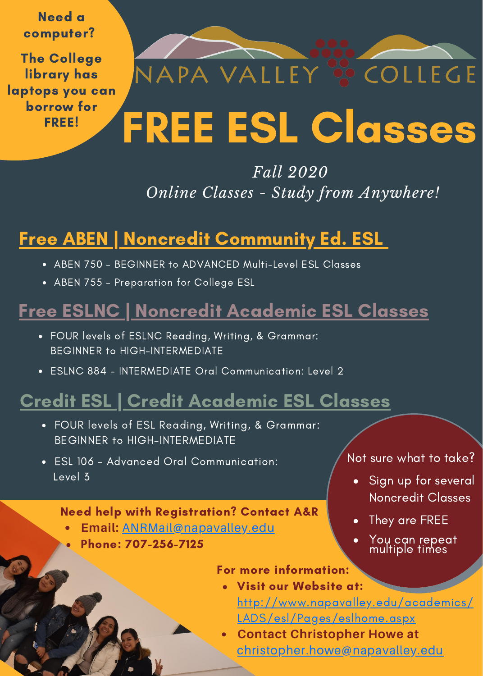Need a computer? The College

library has laptops you can borrow for FREE!

# FREE ESL Classes

NAPA VALLEY <sup>88</sup> COLLEGE

### *Fall 2020 Online Classes - Study from Anywhere!*

### Free ABEN | Noncredit Community Ed. ESL

- ABEN 750 BEGINNER to ADVANCED Multi-Level ESL Classes
- ABEN 755 Preparation for College ESL

### Free ESLNC | Noncredit Academic ESL Classes

- FOUR levels of ESLNC Reading, Writing, & Grammar: BEGINNER to HIGH-INTERMEDIATE
- ESLNC 884 INTERMEDIATE Oral Communication: Level 2

## Credit ESL | Credit Academic ESL Classes

- FOUR levels of ESL Reading, Writing, & Grammar: BEGINNER to HIGH-INTERMEDIATE
- ESL 106 Advanced Oral Communication: Level 3

### Need help with Registration? Contact A&R

- **Email:** [ANRMail@napavalley.edu](http://napavalley.edu/)
- Phone: 707-256-7125

Not sure what to take?

- Sign up for several Noncredit Classes
- They are FREE
- You can repeat multiple times

#### For more information:

- Visit our Website at:
	- [http://www.napavalley.edu/academics/](http://www.napavalley.edu/academics/LADS/esl/Pages/eslhome.aspx) LADS/esl/Pages/eslhome.aspx
- **Contact Christopher Howe at** [christopher.howe@napavalley.edu](http://napavalley.edu/)